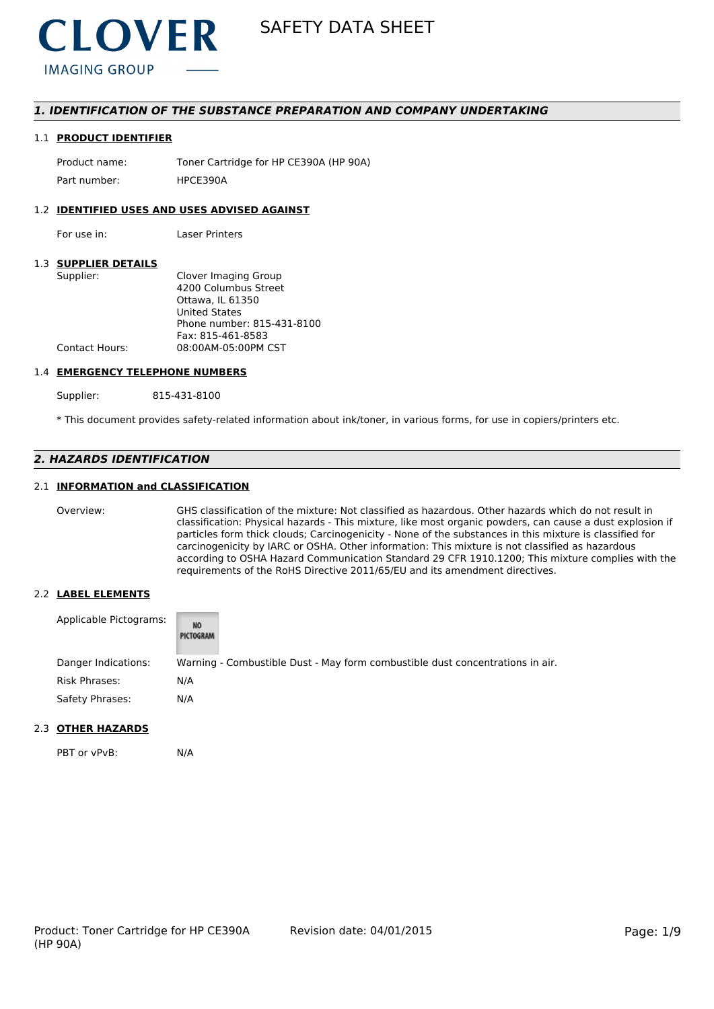

# *1. IDENTIFICATION OF THE SUBSTANCE PREPARATION AND COMPANY UNDERTAKING*

### 1.1 **PRODUCT IDENTIFIER**

Product name: Toner Cartridge for HP CE390A (HP 90A) Part number: HPCE3904

## 1.2 **IDENTIFIED USES AND USES ADVISED AGAINST**

For use in: Laser Printers

# 1.3 **SUPPLIER DETAILS**

| Supplier:             | Clover Imaging Group       |
|-----------------------|----------------------------|
|                       | 4200 Columbus Street       |
|                       | Ottawa. IL 61350           |
|                       | <b>United States</b>       |
|                       | Phone number: 815-431-8100 |
|                       | Fax: 815-461-8583          |
| <b>Contact Hours:</b> | 08:00AM-05:00PM CST        |
|                       |                            |

#### 1.4 **EMERGENCY TELEPHONE NUMBERS**

Supplier: 815-431-8100

\* This document provides safety-related information about ink/toner, in various forms, for use in copiers/printers etc.

# *2. HAZARDS IDENTIFICATION*

# 2.1 **INFORMATION and CLASSIFICATION**

Overview: GHS classification of the mixture: Not classified as hazardous. Other hazards which do not result in classification: Physical hazards - This mixture, like most organic powders, can cause a dust explosion if particles form thick clouds; Carcinogenicity - None of the substances in this mixture is classified for carcinogenicity by IARC or OSHA. Other information: This mixture is not classified as hazardous according to OSHA Hazard Communication Standard 29 CFR 1910.1200; This mixture complies with the requirements of the RoHS Directive 2011/65/EU and its amendment directives.

# 2.2 **LABEL ELEMENTS**

| Applicable Pictograms: | NO<br>PICTOGRAM                                                               |
|------------------------|-------------------------------------------------------------------------------|
| Danger Indications:    | Warning - Combustible Dust - May form combustible dust concentrations in air. |
| Risk Phrases:          | N/A                                                                           |
| Safety Phrases:        | N/A                                                                           |

### 2.3 **OTHER HAZARDS**

PBT or vPvB: N/A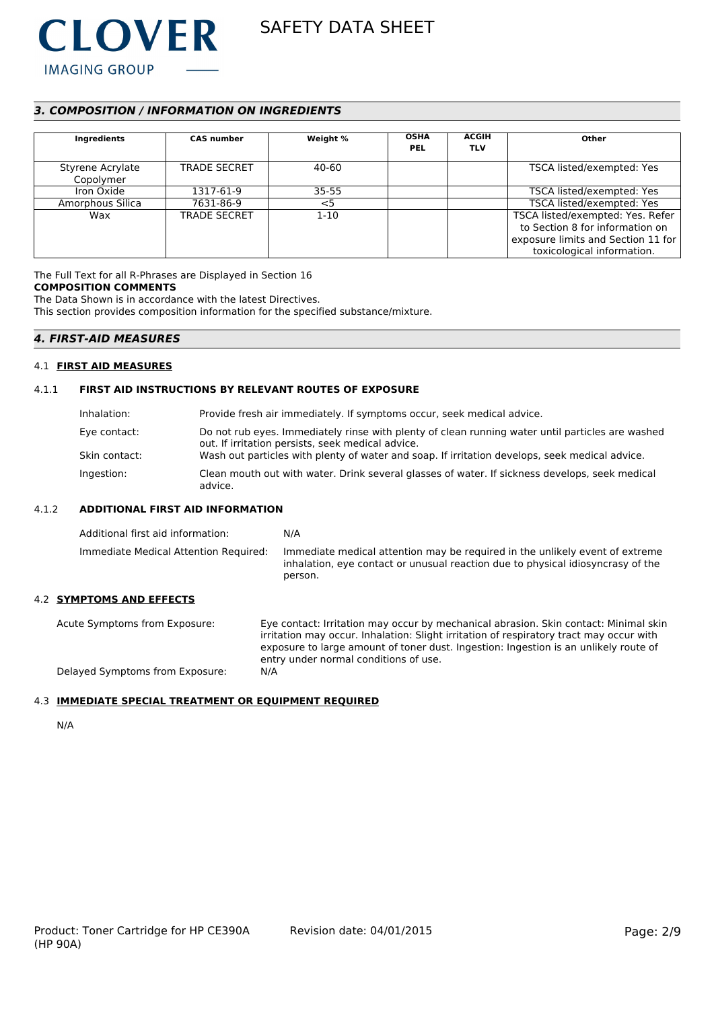

# *3. COMPOSITION / INFORMATION ON INGREDIENTS*

| Ingredients                   | <b>CAS number</b>   | Weight %  | <b>OSHA</b><br><b>PEL</b> | <b>ACGIH</b><br><b>TLV</b> | Other                                                                                                                                   |
|-------------------------------|---------------------|-----------|---------------------------|----------------------------|-----------------------------------------------------------------------------------------------------------------------------------------|
| Styrene Acrylate<br>Copolymer | <b>TRADE SECRET</b> | 40-60     |                           |                            | TSCA listed/exempted: Yes                                                                                                               |
| Iron Oxide                    | 1317-61-9           | $35 - 55$ |                           |                            | TSCA listed/exempted: Yes                                                                                                               |
| Amorphous Silica              | 7631-86-9           | $<$ 5     |                           |                            | TSCA listed/exempted: Yes                                                                                                               |
| Wax                           | <b>TRADE SECRET</b> | $1 - 10$  |                           |                            | TSCA listed/exempted: Yes. Refer<br>to Section 8 for information on<br>exposure limits and Section 11 for<br>toxicological information. |

The Full Text for all R-Phrases are Displayed in Section 16 **COMPOSITION COMMENTS**

The Data Shown is in accordance with the latest Directives.

This section provides composition information for the specified substance/mixture.

# *4. FIRST-AID MEASURES*

### 4.1 **FIRST AID MEASURES**

## 4.1.1 **FIRST AID INSTRUCTIONS BY RELEVANT ROUTES OF EXPOSURE**

| Inhalation:   | Provide fresh air immediately. If symptoms occur, seek medical advice.                                                                                |
|---------------|-------------------------------------------------------------------------------------------------------------------------------------------------------|
| Eye contact:  | Do not rub eyes. Immediately rinse with plenty of clean running water until particles are washed<br>out. If irritation persists, seek medical advice. |
| Skin contact: | Wash out particles with plenty of water and soap. If irritation develops, seek medical advice.                                                        |
| Ingestion:    | Clean mouth out with water. Drink several glasses of water. If sickness develops, seek medical<br>advice.                                             |

# 4.1.2 **ADDITIONAL FIRST AID INFORMATION**

| Additional first aid information:     | N/A                                                                                                                                                                        |
|---------------------------------------|----------------------------------------------------------------------------------------------------------------------------------------------------------------------------|
| Immediate Medical Attention Required: | Immediate medical attention may be required in the unlikely event of extreme<br>inhalation, eve contact or unusual reaction due to physical idiosyncrasy of the<br>person. |

# 4.2 **SYMPTOMS AND EFFECTS**

Acute Symptoms from Exposure: Eye contact: Irritation may occur by mechanical abrasion. Skin contact: Minimal skin irritation may occur. Inhalation: Slight irritation of respiratory tract may occur with exposure to large amount of toner dust. Ingestion: Ingestion is an unlikely route of entry under normal conditions of use. Delayed Symptoms from Exposure: N/A

### 4.3 **IMMEDIATE SPECIAL TREATMENT OR EQUIPMENT REQUIRED**

N/A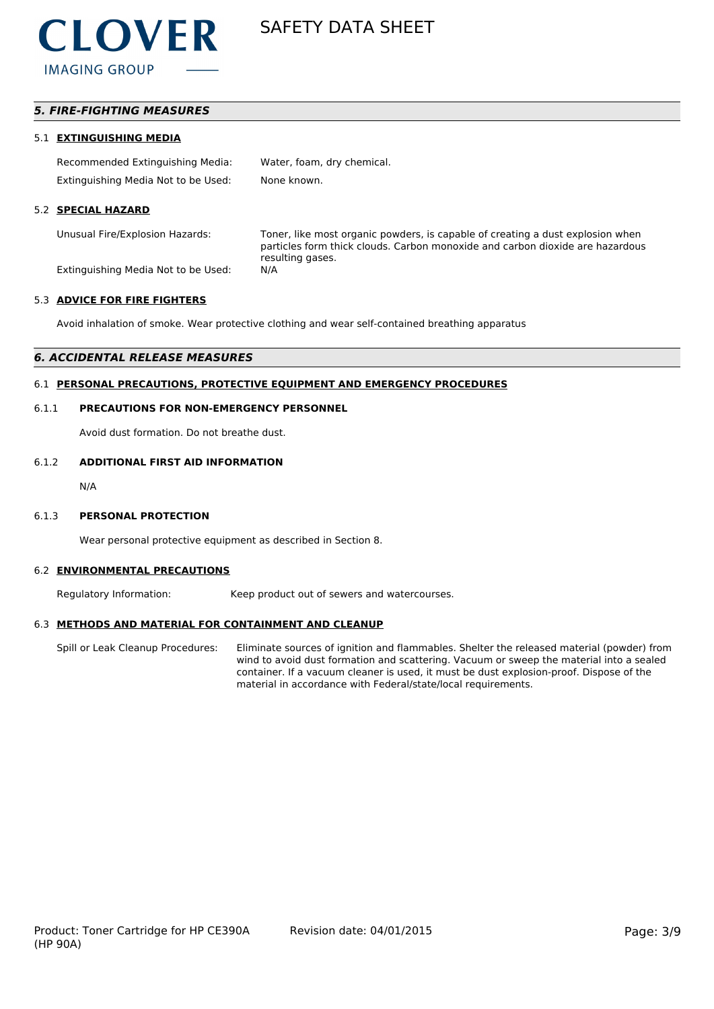

# *5. FIRE-FIGHTING MEASURES*

#### 5.1 **EXTINGUISHING MEDIA**

| Recommended Extinguishing Media:    | Water, foam, dry chemical. |
|-------------------------------------|----------------------------|
| Extinguishing Media Not to be Used: | None known.                |

### 5.2 **SPECIAL HAZARD**

Unusual Fire/Explosion Hazards: Toner, like most organic powders, is capable of creating a dust explosion when particles form thick clouds. Carbon monoxide and carbon dioxide are hazardous resulting gases.

Extinguishing Media Not to be Used: N/A

#### 5.3 **ADVICE FOR FIRE FIGHTERS**

Avoid inhalation of smoke. Wear protective clothing and wear self-contained breathing apparatus

# *6. ACCIDENTAL RELEASE MEASURES*

# 6.1 **PERSONAL PRECAUTIONS, PROTECTIVE EQUIPMENT AND EMERGENCY PROCEDURES**

#### 6.1.1 **PRECAUTIONS FOR NON-EMERGENCY PERSONNEL**

Avoid dust formation. Do not breathe dust.

#### 6.1.2 **ADDITIONAL FIRST AID INFORMATION**

N/A

#### 6.1.3 **PERSONAL PROTECTION**

Wear personal protective equipment as described in Section 8.

#### 6.2 **ENVIRONMENTAL PRECAUTIONS**

Regulatory Information: Keep product out of sewers and watercourses.

#### 6.3 **METHODS AND MATERIAL FOR CONTAINMENT AND CLEANUP**

Spill or Leak Cleanup Procedures: Eliminate sources of ignition and flammables. Shelter the released material (powder) from wind to avoid dust formation and scattering. Vacuum or sweep the material into a sealed container. If a vacuum cleaner is used, it must be dust explosion-proof. Dispose of the material in accordance with Federal/state/local requirements.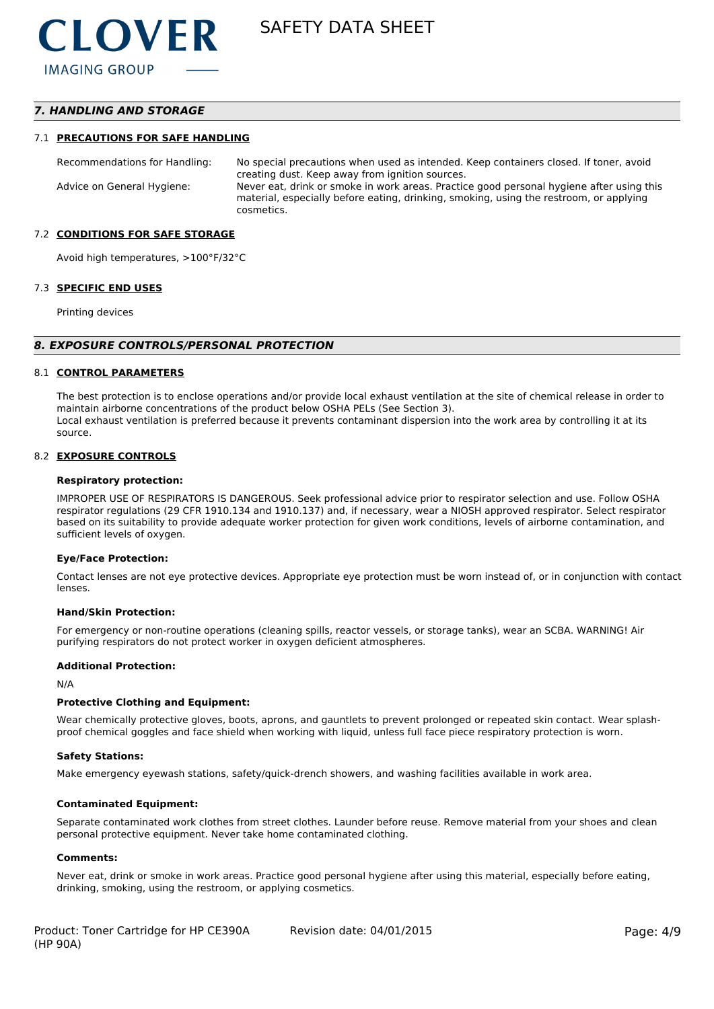# *7. HANDLING AND STORAGE*

#### 7.1 **PRECAUTIONS FOR SAFE HANDLING**

Recommendations for Handling: No special precautions when used as intended. Keep containers closed. If toner, avoid creating dust. Keep away from ignition sources. Advice on General Hygiene: Never eat, drink or smoke in work areas. Practice good personal hygiene after using this material, especially before eating, drinking, smoking, using the restroom, or applying cosmetics.

#### 7.2 **CONDITIONS FOR SAFE STORAGE**

Avoid high temperatures, >100°F/32°C

#### 7.3 **SPECIFIC END USES**

Printing devices

#### *8. EXPOSURE CONTROLS/PERSONAL PROTECTION*

#### 8.1 **CONTROL PARAMETERS**

The best protection is to enclose operations and/or provide local exhaust ventilation at the site of chemical release in order to maintain airborne concentrations of the product below OSHA PELs (See Section 3). Local exhaust ventilation is preferred because it prevents contaminant dispersion into the work area by controlling it at its source.

#### 8.2 **EXPOSURE CONTROLS**

#### **Respiratory protection:**

IMPROPER USE OF RESPIRATORS IS DANGEROUS. Seek professional advice prior to respirator selection and use. Follow OSHA respirator regulations (29 CFR 1910.134 and 1910.137) and, if necessary, wear a NIOSH approved respirator. Select respirator based on its suitability to provide adequate worker protection for given work conditions, levels of airborne contamination, and sufficient levels of oxygen.

#### **Eye/Face Protection:**

Contact lenses are not eye protective devices. Appropriate eye protection must be worn instead of, or in conjunction with contact lenses.

#### **Hand/Skin Protection:**

For emergency or non-routine operations (cleaning spills, reactor vessels, or storage tanks), wear an SCBA. WARNING! Air purifying respirators do not protect worker in oxygen deficient atmospheres.

#### **Additional Protection:**

N/A

#### **Protective Clothing and Equipment:**

Wear chemically protective gloves, boots, aprons, and gauntlets to prevent prolonged or repeated skin contact. Wear splashproof chemical goggles and face shield when working with liquid, unless full face piece respiratory protection is worn.

#### **Safety Stations:**

Make emergency eyewash stations, safety/quick-drench showers, and washing facilities available in work area.

#### **Contaminated Equipment:**

Separate contaminated work clothes from street clothes. Launder before reuse. Remove material from your shoes and clean personal protective equipment. Never take home contaminated clothing.

#### **Comments:**

Never eat, drink or smoke in work areas. Practice good personal hygiene after using this material, especially before eating, drinking, smoking, using the restroom, or applying cosmetics.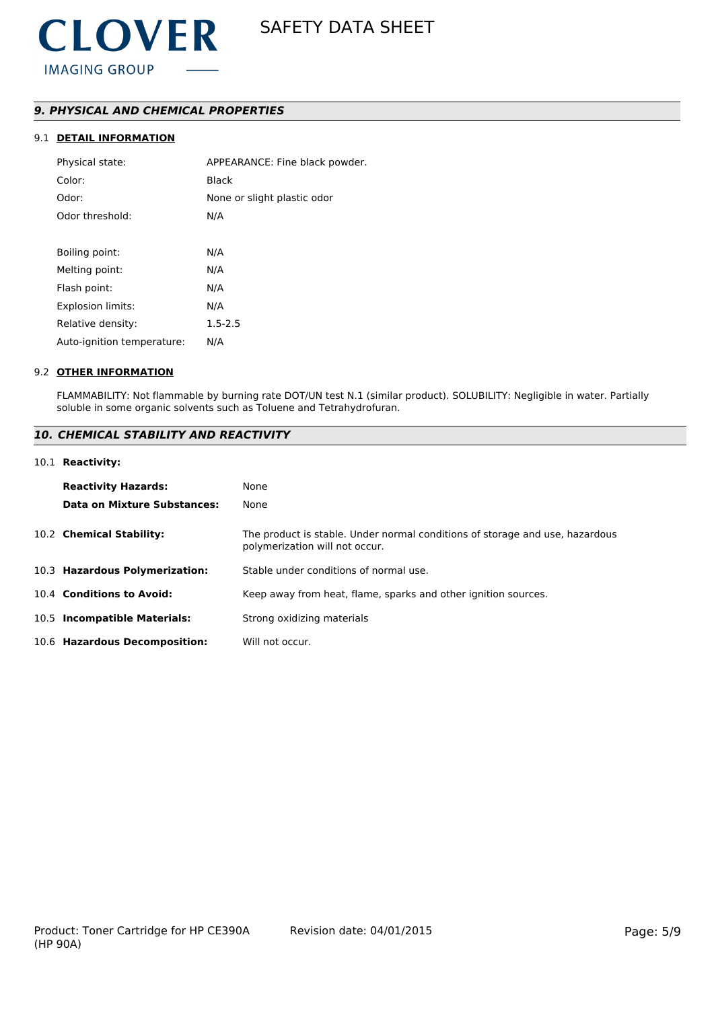# *9. PHYSICAL AND CHEMICAL PROPERTIES*

# 9.1 **DETAIL INFORMATION**

| Physical state:            | APPEARANCE: Fine black powder. |
|----------------------------|--------------------------------|
| Color:                     | Black                          |
| Odor:                      | None or slight plastic odor    |
| Odor threshold:            | N/A                            |
|                            |                                |
| Boiling point:             | N/A                            |
| Melting point:             | N/A                            |
| Flash point:               | N/A                            |
| <b>Explosion limits:</b>   | N/A                            |
| Relative density:          | $1.5 - 2.5$                    |
| Auto-ignition temperature: | N/A                            |
|                            |                                |

### 9.2 **OTHER INFORMATION**

FLAMMABILITY: Not flammable by burning rate DOT/UN test N.1 (similar product). SOLUBILITY: Negligible in water. Partially soluble in some organic solvents such as Toluene and Tetrahydrofuran.

# *10. CHEMICAL STABILITY AND REACTIVITY*

#### 10.1 **Reactivity:**

| <b>Reactivity Hazards:</b>     | None                                                                                                           |
|--------------------------------|----------------------------------------------------------------------------------------------------------------|
| Data on Mixture Substances:    | None                                                                                                           |
| 10.2 Chemical Stability:       | The product is stable. Under normal conditions of storage and use, hazardous<br>polymerization will not occur. |
| 10.3 Hazardous Polymerization: | Stable under conditions of normal use.                                                                         |
| 10.4 Conditions to Avoid:      | Keep away from heat, flame, sparks and other ignition sources.                                                 |
| 10.5 Incompatible Materials:   | Strong oxidizing materials                                                                                     |
| 10.6 Hazardous Decomposition:  | Will not occur.                                                                                                |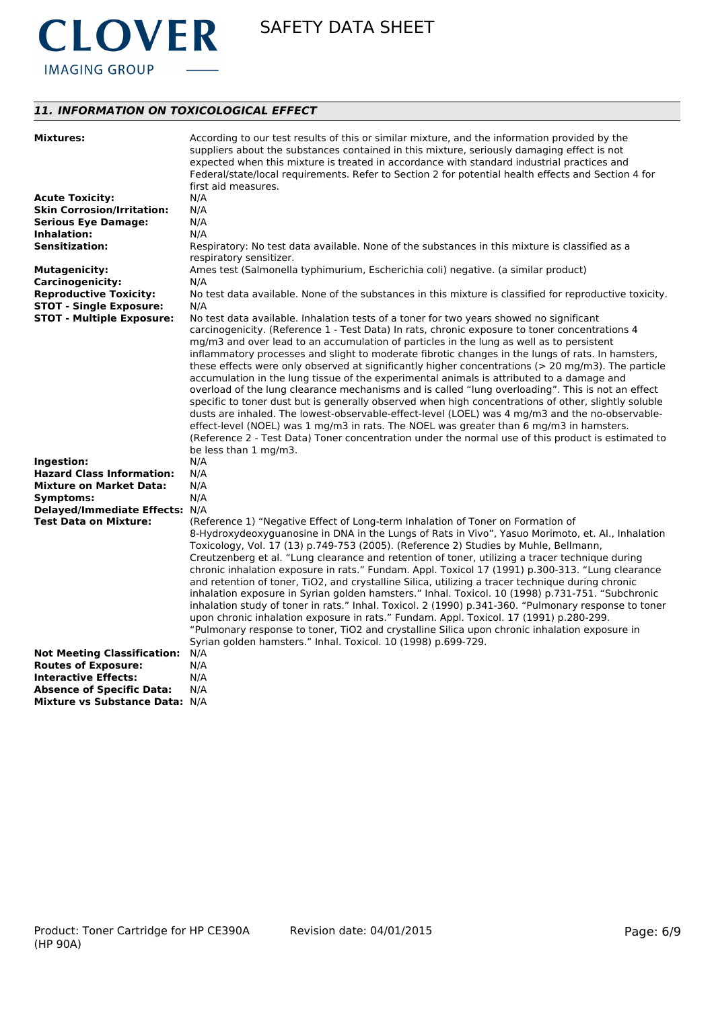

# *11. INFORMATION ON TOXICOLOGICAL EFFECT*

| <b>Mixtures:</b>                                               | According to our test results of this or similar mixture, and the information provided by the                                                                                        |
|----------------------------------------------------------------|--------------------------------------------------------------------------------------------------------------------------------------------------------------------------------------|
|                                                                | suppliers about the substances contained in this mixture, seriously damaging effect is not                                                                                           |
|                                                                | expected when this mixture is treated in accordance with standard industrial practices and                                                                                           |
|                                                                | Federal/state/local requirements. Refer to Section 2 for potential health effects and Section 4 for                                                                                  |
|                                                                | first aid measures.                                                                                                                                                                  |
| <b>Acute Toxicity:</b>                                         | N/A                                                                                                                                                                                  |
| <b>Skin Corrosion/Irritation:</b>                              | N/A                                                                                                                                                                                  |
| <b>Serious Eye Damage:</b>                                     | N/A                                                                                                                                                                                  |
| Inhalation:                                                    | N/A                                                                                                                                                                                  |
| <b>Sensitization:</b>                                          | Respiratory: No test data available. None of the substances in this mixture is classified as a                                                                                       |
|                                                                | respiratory sensitizer.                                                                                                                                                              |
| <b>Mutagenicity:</b>                                           | Ames test (Salmonella typhimurium, Escherichia coli) negative. (a similar product)                                                                                                   |
| <b>Carcinogenicity:</b>                                        | N/A                                                                                                                                                                                  |
| <b>Reproductive Toxicity:</b>                                  | No test data available. None of the substances in this mixture is classified for reproductive toxicity.                                                                              |
| <b>STOT - Single Exposure:</b>                                 | N/A                                                                                                                                                                                  |
| <b>STOT - Multiple Exposure:</b>                               | No test data available. Inhalation tests of a toner for two years showed no significant                                                                                              |
|                                                                | carcinogenicity. (Reference 1 - Test Data) In rats, chronic exposure to toner concentrations 4                                                                                       |
|                                                                | mg/m3 and over lead to an accumulation of particles in the lung as well as to persistent                                                                                             |
|                                                                | inflammatory processes and slight to moderate fibrotic changes in the lungs of rats. In hamsters,                                                                                    |
|                                                                | these effects were only observed at significantly higher concentrations (> 20 mg/m3). The particle                                                                                   |
|                                                                | accumulation in the lung tissue of the experimental animals is attributed to a damage and                                                                                            |
|                                                                | overload of the lung clearance mechanisms and is called "lung overloading". This is not an effect                                                                                    |
|                                                                | specific to toner dust but is generally observed when high concentrations of other, slightly soluble                                                                                 |
|                                                                |                                                                                                                                                                                      |
|                                                                | dusts are inhaled. The lowest-observable-effect-level (LOEL) was 4 mg/m3 and the no-observable-                                                                                      |
|                                                                | effect-level (NOEL) was 1 mg/m3 in rats. The NOEL was greater than 6 mg/m3 in hamsters.                                                                                              |
|                                                                | (Reference 2 - Test Data) Toner concentration under the normal use of this product is estimated to                                                                                   |
|                                                                | be less than 1 mg/m3.                                                                                                                                                                |
| Ingestion:                                                     | N/A                                                                                                                                                                                  |
| <b>Hazard Class Information:</b>                               | N/A                                                                                                                                                                                  |
| <b>Mixture on Market Data:</b>                                 | N/A<br>N/A                                                                                                                                                                           |
| Symptoms:                                                      |                                                                                                                                                                                      |
| Delayed/Immediate Effects: N/A<br><b>Test Data on Mixture:</b> |                                                                                                                                                                                      |
|                                                                | (Reference 1) "Negative Effect of Long-term Inhalation of Toner on Formation of<br>8-Hydroxydeoxyguanosine in DNA in the Lungs of Rats in Vivo", Yasuo Morimoto, et. Al., Inhalation |
|                                                                |                                                                                                                                                                                      |
|                                                                | Toxicology, Vol. 17 (13) p.749-753 (2005). (Reference 2) Studies by Muhle, Bellmann,                                                                                                 |
|                                                                | Creutzenberg et al. "Lung clearance and retention of toner, utilizing a tracer technique during                                                                                      |
|                                                                | chronic inhalation exposure in rats." Fundam. Appl. Toxicol 17 (1991) p.300-313. "Lung clearance                                                                                     |
|                                                                | and retention of toner, TiO2, and crystalline Silica, utilizing a tracer technique during chronic                                                                                    |
|                                                                | inhalation exposure in Syrian golden hamsters." Inhal. Toxicol. 10 (1998) p.731-751. "Subchronic                                                                                     |
|                                                                | inhalation study of toner in rats." Inhal. Toxicol. 2 (1990) p.341-360. "Pulmonary response to toner                                                                                 |
|                                                                | upon chronic inhalation exposure in rats." Fundam. Appl. Toxicol. 17 (1991) p.280-299.                                                                                               |
|                                                                | "Pulmonary response to toner, TiO2 and crystalline Silica upon chronic inhalation exposure in                                                                                        |
|                                                                | Syrian golden hamsters." Inhal. Toxicol. 10 (1998) p.699-729.                                                                                                                        |
| <b>Not Meeting Classification:</b>                             | N/A                                                                                                                                                                                  |
| <b>Routes of Exposure:</b>                                     | N/A                                                                                                                                                                                  |
| <b>Interactive Effects:</b>                                    | N/A                                                                                                                                                                                  |
| <b>Absence of Specific Data:</b>                               | N/A                                                                                                                                                                                  |
| Mixture vs Substance Data: N/A                                 |                                                                                                                                                                                      |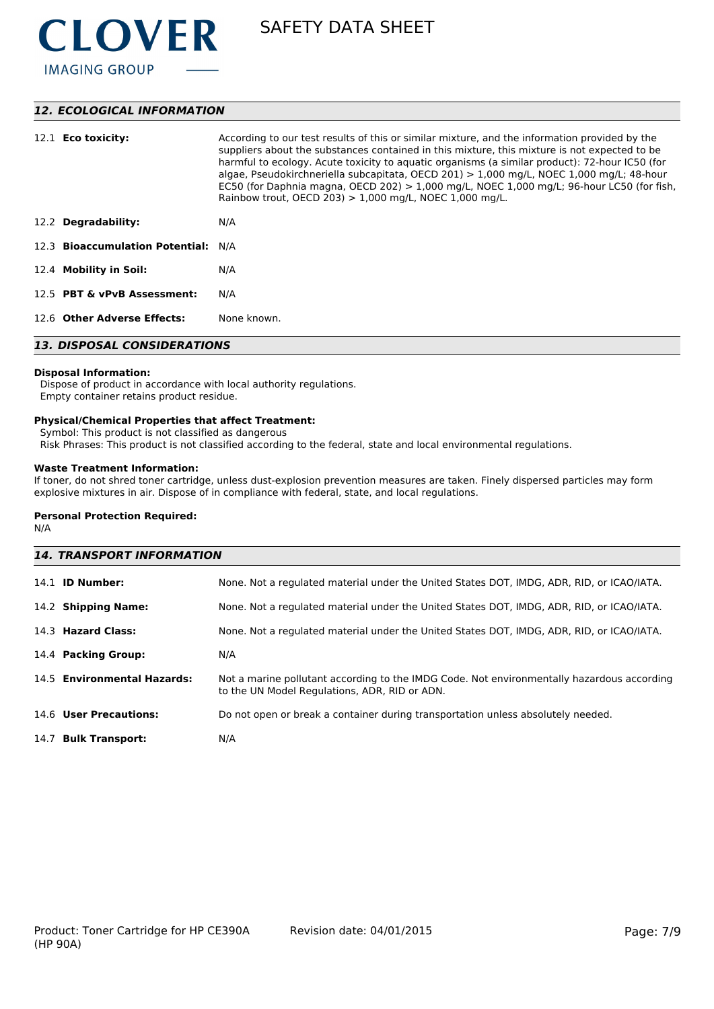

# *12. ECOLOGICAL INFORMATION*

| 12.1 <b>Eco toxicity:</b>           | According to our test results of this or similar mixture, and the information provided by the<br>suppliers about the substances contained in this mixture, this mixture is not expected to be<br>harmful to ecology. Acute toxicity to aquatic organisms (a similar product): 72-hour IC50 (for<br>algae, Pseudokirchneriella subcapitata, OECD 201) $> 1,000$ mg/L, NOEC 1,000 mg/L; 48-hour<br>EC50 (for Daphnia magna, OECD 202) $> 1,000$ mg/L, NOEC 1,000 mg/L; 96-hour LC50 (for fish,<br>Rainbow trout, OECD 203) $> 1,000$ mg/L, NOEC 1,000 mg/L. |  |
|-------------------------------------|-----------------------------------------------------------------------------------------------------------------------------------------------------------------------------------------------------------------------------------------------------------------------------------------------------------------------------------------------------------------------------------------------------------------------------------------------------------------------------------------------------------------------------------------------------------|--|
| 12.2 Degradability:                 | N/A                                                                                                                                                                                                                                                                                                                                                                                                                                                                                                                                                       |  |
| 12.3 Bioaccumulation Potential: N/A |                                                                                                                                                                                                                                                                                                                                                                                                                                                                                                                                                           |  |
| 12.4 Mobility in Soil:              | N/A                                                                                                                                                                                                                                                                                                                                                                                                                                                                                                                                                       |  |
| 12.5 PBT & vPvB Assessment:         | N/A                                                                                                                                                                                                                                                                                                                                                                                                                                                                                                                                                       |  |
| 12.6 Other Adverse Effects:         | None known.                                                                                                                                                                                                                                                                                                                                                                                                                                                                                                                                               |  |
| <b>13. DISPOSAL CONSIDERATIONS</b>  |                                                                                                                                                                                                                                                                                                                                                                                                                                                                                                                                                           |  |

#### **Disposal Information:**

 Dispose of product in accordance with local authority regulations. Empty container retains product residue.

# **Physical/Chemical Properties that affect Treatment:**

Symbol: This product is not classified as dangerous

Risk Phrases: This product is not classified according to the federal, state and local environmental regulations.

# **Waste Treatment Information:**

If toner, do not shred toner cartridge, unless dust-explosion prevention measures are taken. Finely dispersed particles may form explosive mixtures in air. Dispose of in compliance with federal, state, and local regulations.

#### **Personal Protection Required:**

N/A

| <b>14. TRANSPORT INFORMATION</b> |                                                                                                                                             |  |  |
|----------------------------------|---------------------------------------------------------------------------------------------------------------------------------------------|--|--|
| 14.1 <b>ID Number:</b>           | None. Not a regulated material under the United States DOT, IMDG, ADR, RID, or ICAO/IATA.                                                   |  |  |
| 14.2 Shipping Name:              | None. Not a regulated material under the United States DOT, IMDG, ADR, RID, or ICAO/IATA.                                                   |  |  |
| 14.3 Hazard Class:               | None. Not a regulated material under the United States DOT, IMDG, ADR, RID, or ICAO/IATA.                                                   |  |  |
| 14.4 Packing Group:              | N/A                                                                                                                                         |  |  |
| 14.5 Environmental Hazards:      | Not a marine pollutant according to the IMDG Code. Not environmentally hazardous according<br>to the UN Model Regulations, ADR, RID or ADN. |  |  |
| 14.6 User Precautions:           | Do not open or break a container during transportation unless absolutely needed.                                                            |  |  |
| 14.7 Bulk Transport:             | N/A                                                                                                                                         |  |  |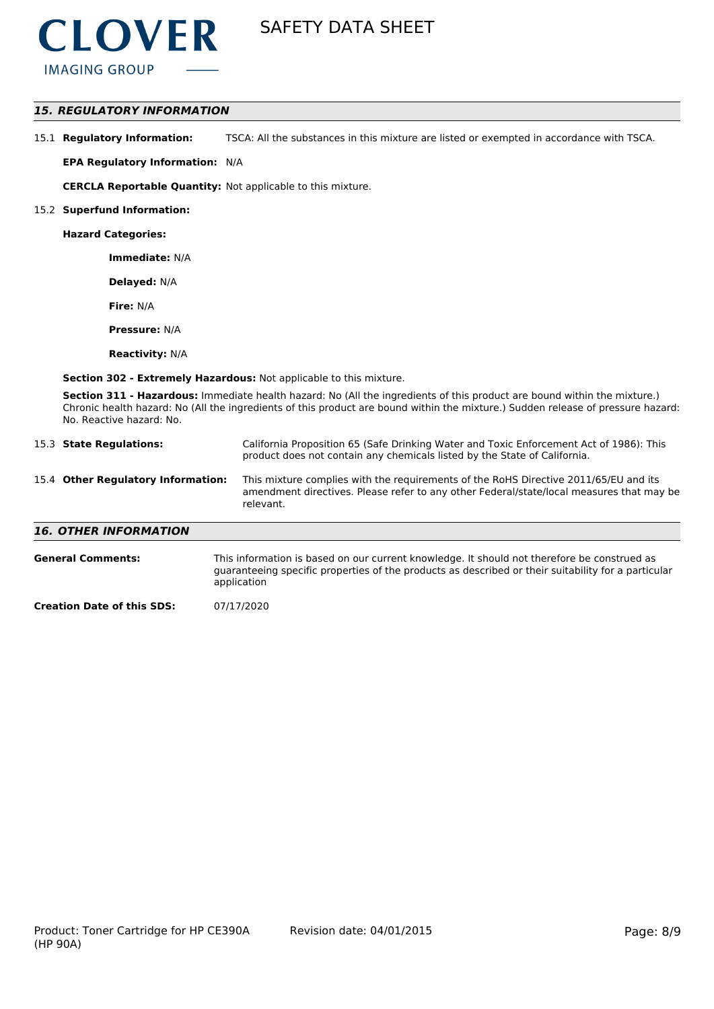

# *15. REGULATORY INFORMATION*

| 15.1 Regulatory Information: | TSCA: All the substances in this mixture are listed or exempted in accordance with TSCA. |
|------------------------------|------------------------------------------------------------------------------------------|
|------------------------------|------------------------------------------------------------------------------------------|

**EPA Regulatory Information:** N/A

**CERCLA Reportable Quantity:** Not applicable to this mixture.

#### 15.2 **Superfund Information:**

**Hazard Categories:**

**Immediate:** N/A

**Delayed:** N/A

**Fire:** N/A

**Pressure:** N/A

**Reactivity:** N/A

**Section 302 - Extremely Hazardous:** Not applicable to this mixture.

**Section 311 - Hazardous:** Immediate health hazard: No (All the ingredients of this product are bound within the mixture.) Chronic health hazard: No (All the ingredients of this product are bound within the mixture.) Sudden release of pressure hazard: No. Reactive hazard: No.

| 15.3 State Regulations:            | California Proposition 65 (Safe Drinking Water and Toxic Enforcement Act of 1986): This<br>product does not contain any chemicals listed by the State of California.                          |
|------------------------------------|-----------------------------------------------------------------------------------------------------------------------------------------------------------------------------------------------|
| 15.4 Other Regulatory Information: | This mixture complies with the requirements of the RoHS Directive 2011/65/EU and its<br>amendment directives. Please refer to any other Federal/state/local measures that may be<br>relevant. |
| <b>16. OTHER INFORMATION</b>       |                                                                                                                                                                                               |
| <b>General Comments:</b>           | This information is based on our current knowledge. It should not therefore be construed as                                                                                                   |

guaranteeing specific properties of the products as described or their suitability for a particular application

**Creation Date of this SDS:** 07/17/2020